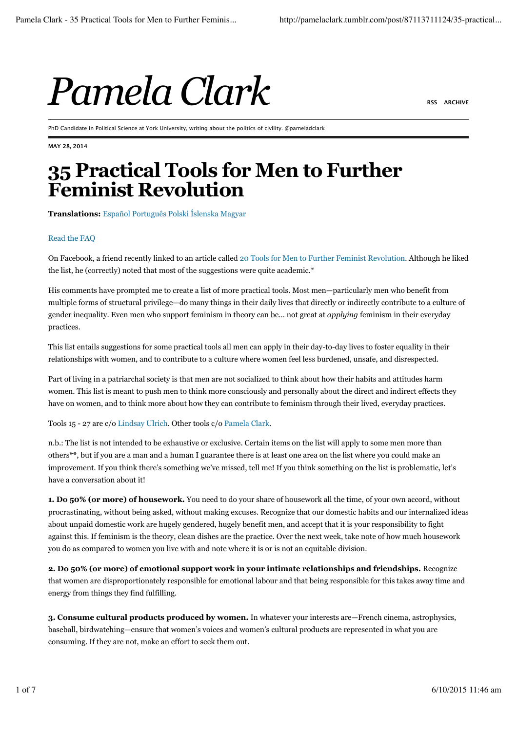

PhD Candidate in Political Science at York University, writing about the politics of civility. @pameladclark

**MAY 28, 2014**

## **35 Practical Tools for Men to Further Feminist Revolution**

**Translations:** Español Português Polski Íslenska Magyar

## Read the FAQ

On Facebook, a friend recently linked to an article called 20 Tools for Men to Further Feminist Revolution. Although he liked the list, he (correctly) noted that most of the suggestions were quite academic.\*

His comments have prompted me to create a list of more practical tools. Most men—particularly men who benefit from multiple forms of structural privilege—do many things in their daily lives that directly or indirectly contribute to a culture of gender inequality. Even men who support feminism in theory can be… not great at *applying* feminism in their everyday practices.

This list entails suggestions for some practical tools all men can apply in their day-to-day lives to foster equality in their relationships with women, and to contribute to a culture where women feel less burdened, unsafe, and disrespected.

Part of living in a patriarchal society is that men are not socialized to think about how their habits and attitudes harm women. This list is meant to push men to think more consciously and personally about the direct and indirect effects they have on women, and to think more about how they can contribute to feminism through their lived, everyday practices.

Tools 15 - 27 are c/o Lindsay Ulrich. Other tools c/o Pamela Clark.

n.b.: The list is not intended to be exhaustive or exclusive. Certain items on the list will apply to some men more than others\*\*, but if you are a man and a human I guarantee there is at least one area on the list where you could make an improvement. If you think there's something we've missed, tell me! If you think something on the list is problematic, let's have a conversation about it!

**1. Do 50% (or more) of housework.** You need to do your share of housework all the time, of your own accord, without procrastinating, without being asked, without making excuses. Recognize that our domestic habits and our internalized ideas about unpaid domestic work are hugely gendered, hugely benefit men, and accept that it is your responsibility to fight against this. If feminism is the theory, clean dishes are the practice. Over the next week, take note of how much housework you do as compared to women you live with and note where it is or is not an equitable division.

**2. Do 50% (or more) of emotional support work in your intimate relationships and friendships.** Recognize that women are disproportionately responsible for emotional labour and that being responsible for this takes away time and energy from things they find fulfilling.

**3. Consume cultural products produced by women.** In whatever your interests are—French cinema, astrophysics, baseball, birdwatching—ensure that women's voices and women's cultural products are represented in what you are consuming. If they are not, make an effort to seek them out.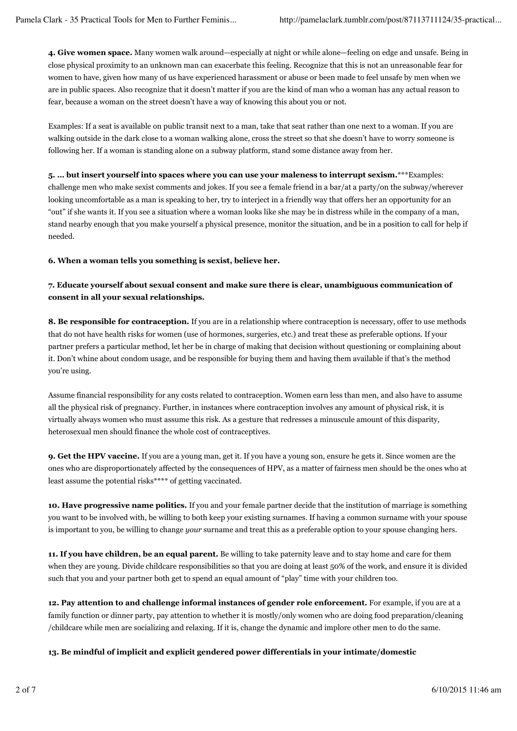**4. Give women space.** Many women walk around—especially at night or while alone—feeling on edge and unsafe. Being in close physical proximity to an unknown man can exacerbate this feeling. Recognize that this is not an unreasonable fear for women to have, given how many of us have experienced harassment or abuse or been made to feel unsafe by men when we are in public spaces. Also recognize that it doesn't matter if you are the kind of man who a woman has any actual reason to fear, because a woman on the street doesn't have a way of knowing this about you or not.

Examples: If a seat is available on public transit next to a man, take that seat rather than one next to a woman. If you are walking outside in the dark close to a woman walking alone, cross the street so that she doesn't have to worry someone is following her. If a woman is standing alone on a subway platform, stand some distance away from her.

**5. … but insert yourself into spaces where you can use your maleness to interrupt sexism.**\*\*\*Examples: challenge men who make sexist comments and jokes. If you see a female friend in a bar/at a party/on the subway/wherever looking uncomfortable as a man is speaking to her, try to interject in a friendly way that offers her an opportunity for an "out" if she wants it. If you see a situation where a woman looks like she may be in distress while in the company of a man, stand nearby enough that you make yourself a physical presence, monitor the situation, and be in a position to call for help if needed.

**6. When a woman tells you something is sexist, believe her.**

## **7. Educate yourself about sexual consent and make sure there is clear, unambiguous communication of consent in all your sexual relationships.**

**8. Be responsible for contraception.** If you are in a relationship where contraception is necessary, offer to use methods that do not have health risks for women (use of hormones, surgeries, etc.) and treat these as preferable options. If your partner prefers a particular method, let her be in charge of making that decision without questioning or complaining about it. Don't whine about condom usage, and be responsible for buying them and having them available if that's the method you're using.

Assume financial responsibility for any costs related to contraception. Women earn less than men, and also have to assume all the physical risk of pregnancy. Further, in instances where contraception involves any amount of physical risk, it is virtually always women who must assume this risk. As a gesture that redresses a minuscule amount of this disparity, heterosexual men should finance the whole cost of contraceptives.

**9. Get the HPV vaccine.** If you are a young man, get it. If you have a young son, ensure he gets it. Since women are the ones who are disproportionately affected by the consequences of HPV, as a matter of fairness men should be the ones who at least assume the potential risks\*\*\*\* of getting vaccinated.

**10. Have progressive name politics.** If you and your female partner decide that the institution of marriage is something you want to be involved with, be willing to both keep your existing surnames. If having a common surname with your spouse is important to you, be willing to change *your* surname and treat this as a preferable option to your spouse changing hers.

**11. If you have children, be an equal parent.** Be willing to take paternity leave and to stay home and care for them when they are young. Divide childcare responsibilities so that you are doing at least 50% of the work, and ensure it is divided such that you and your partner both get to spend an equal amount of "play" time with your children too.

**12. Pay attention to and challenge informal instances of gender role enforcement.** For example, if you are at a family function or dinner party, pay attention to whether it is mostly/only women who are doing food preparation/cleaning /childcare while men are socializing and relaxing. If it is, change the dynamic and implore other men to do the same.

**13. Be mindful of implicit and explicit gendered power differentials in your intimate/domestic**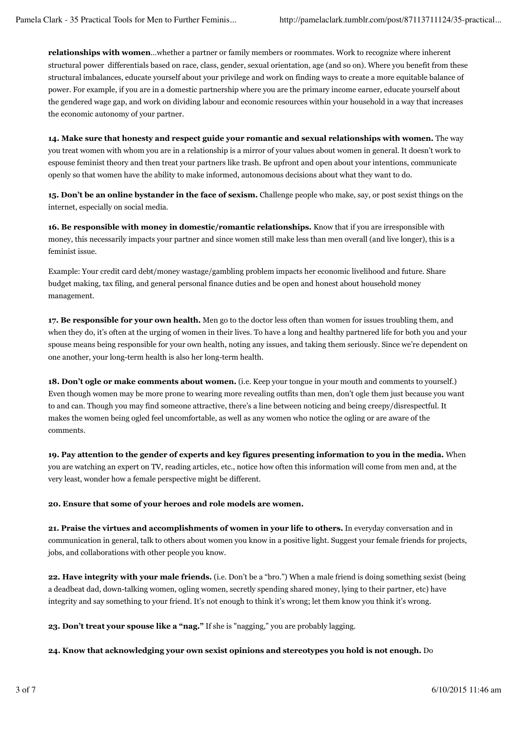**relationships with women**…whether a partner or family members or roommates. Work to recognize where inherent structural power differentials based on race, class, gender, sexual orientation, age (and so on). Where you benefit from these structural imbalances, educate yourself about your privilege and work on finding ways to create a more equitable balance of power. For example, if you are in a domestic partnership where you are the primary income earner, educate yourself about the gendered wage gap, and work on dividing labour and economic resources within your household in a way that increases the economic autonomy of your partner.

**14. Make sure that honesty and respect guide your romantic and sexual relationships with women.** The way you treat women with whom you are in a relationship is a mirror of your values about women in general. It doesn't work to espouse feminist theory and then treat your partners like trash. Be upfront and open about your intentions, communicate openly so that women have the ability to make informed, autonomous decisions about what they want to do.

**15. Don't be an online bystander in the face of sexism.** Challenge people who make, say, or post sexist things on the internet, especially on social media.

**16. Be responsible with money in domestic/romantic relationships.** Know that if you are irresponsible with money, this necessarily impacts your partner and since women still make less than men overall (and live longer), this is a feminist issue.

Example: Your credit card debt/money wastage/gambling problem impacts her economic livelihood and future. Share budget making, tax filing, and general personal finance duties and be open and honest about household money management.

**17. Be responsible for your own health.** Men go to the doctor less often than women for issues troubling them, and when they do, it's often at the urging of women in their lives. To have a long and healthy partnered life for both you and your spouse means being responsible for your own health, noting any issues, and taking them seriously. Since we're dependent on one another, your long-term health is also her long-term health.

**18. Don't ogle or make comments about women.** (i.e. Keep your tongue in your mouth and comments to yourself.) Even though women may be more prone to wearing more revealing outfits than men, don't ogle them just because you want to and can. Though you may find someone attractive, there's a line between noticing and being creepy/disrespectful. It makes the women being ogled feel uncomfortable, as well as any women who notice the ogling or are aware of the comments.

**19. Pay attention to the gender of experts and key figures presenting information to you in the media.** When you are watching an expert on TV, reading articles, etc., notice how often this information will come from men and, at the very least, wonder how a female perspective might be different.

**20. Ensure that some of your heroes and role models are women.**

**21. Praise the virtues and accomplishments of women in your life to others.** In everyday conversation and in communication in general, talk to others about women you know in a positive light. Suggest your female friends for projects, jobs, and collaborations with other people you know.

**22. Have integrity with your male friends.** (i.e. Don't be a "bro.") When a male friend is doing something sexist (being a deadbeat dad, down-talking women, ogling women, secretly spending shared money, lying to their partner, etc) have integrity and say something to your friend. It's not enough to think it's wrong; let them know you think it's wrong.

**23. Don't treat your spouse like a "nag."** If she is "nagging," you are probably lagging.

**24. Know that acknowledging your own sexist opinions and stereotypes you hold is not enough.** Do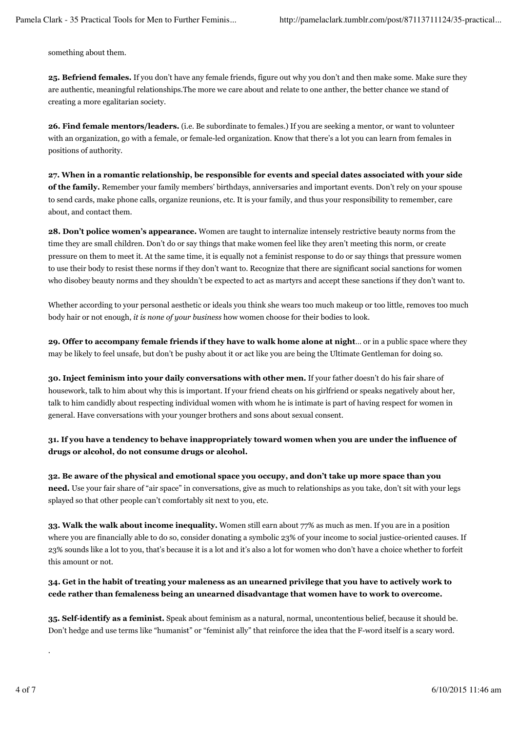something about them.

**25. Befriend females.** If you don't have any female friends, figure out why you don't and then make some. Make sure they are authentic, meaningful relationships.The more we care about and relate to one anther, the better chance we stand of creating a more egalitarian society.

**26. Find female mentors/leaders.** (i.e. Be subordinate to females.) If you are seeking a mentor, or want to volunteer with an organization, go with a female, or female-led organization. Know that there's a lot you can learn from females in positions of authority.

**27. When in a romantic relationship, be responsible for events and special dates associated with your side of the family.** Remember your family members' birthdays, anniversaries and important events. Don't rely on your spouse to send cards, make phone calls, organize reunions, etc. It is your family, and thus your responsibility to remember, care about, and contact them.

**28. Don't police women's appearance.** Women are taught to internalize intensely restrictive beauty norms from the time they are small children. Don't do or say things that make women feel like they aren't meeting this norm, or create pressure on them to meet it. At the same time, it is equally not a feminist response to do or say things that pressure women to use their body to resist these norms if they don't want to. Recognize that there are significant social sanctions for women who disobey beauty norms and they shouldn't be expected to act as martyrs and accept these sanctions if they don't want to.

Whether according to your personal aesthetic or ideals you think she wears too much makeup or too little, removes too much body hair or not enough, *it is none of your business* how women choose for their bodies to look.

**29. Offer to accompany female friends if they have to walk home alone at night**… or in a public space where they may be likely to feel unsafe, but don't be pushy about it or act like you are being the Ultimate Gentleman for doing so.

**30. Inject feminism into your daily conversations with other men.** If your father doesn't do his fair share of housework, talk to him about why this is important. If your friend cheats on his girlfriend or speaks negatively about her, talk to him candidly about respecting individual women with whom he is intimate is part of having respect for women in general. Have conversations with your younger brothers and sons about sexual consent.

**31. If you have a tendency to behave inappropriately toward women when you are under the influence of drugs or alcohol, do not consume drugs or alcohol.**

**32. Be aware of the physical and emotional space you occupy, and don't take up more space than you need.** Use your fair share of "air space" in conversations, give as much to relationships as you take, don't sit with your legs splayed so that other people can't comfortably sit next to you, etc.

**33. Walk the walk about income inequality.** Women still earn about 77% as much as men. If you are in a position where you are financially able to do so, consider donating a symbolic 23% of your income to social justice-oriented causes. If 23% sounds like a lot to you, that's because it is a lot and it's also a lot for women who don't have a choice whether to forfeit this amount or not.

**34. Get in the habit of treating your maleness as an unearned privilege that you have to actively work to cede rather than femaleness being an unearned disadvantage that women have to work to overcome.**

**35. Self-identify as a feminist.** Speak about feminism as a natural, normal, uncontentious belief, because it should be. Don't hedge and use terms like "humanist" or "feminist ally" that reinforce the idea that the F-word itself is a scary word.

.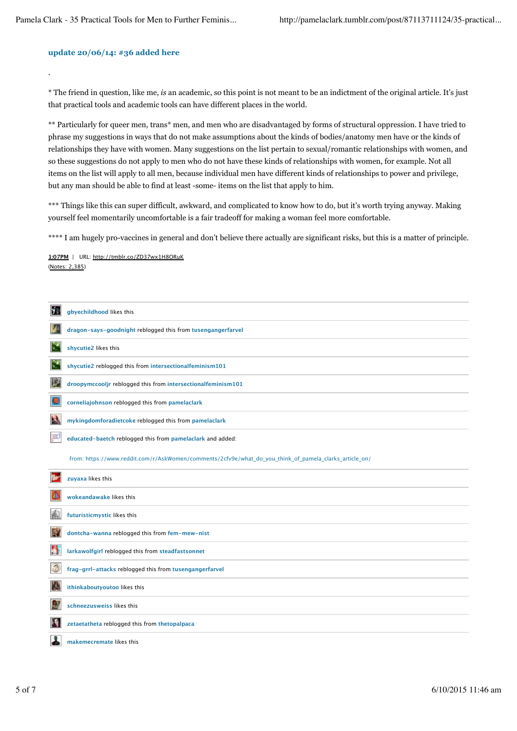## **update 20/06/14: #36 added here**

.

\* The friend in question, like me, *is* an academic, so this point is not meant to be an indictment of the original article. It's just that practical tools and academic tools can have different places in the world.

\*\* Particularly for queer men, trans\* men, and men who are disadvantaged by forms of structural oppression. I have tried to phrase my suggestions in ways that do not make assumptions about the kinds of bodies/anatomy men have or the kinds of relationships they have with women. Many suggestions on the list pertain to sexual/romantic relationships with women, and so these suggestions do not apply to men who do not have these kinds of relationships with women, for example. Not all items on the list will apply to all men, because individual men have different kinds of relationships to power and privilege, but any man should be able to find at least -some- items on the list that apply to him.

\*\*\* Things like this can super difficult, awkward, and complicated to know how to do, but it's worth trying anyway. Making yourself feel momentarily uncomfortable is a fair tradeoff for making a woman feel more comfortable.

\*\*\*\* I am hugely pro-vaccines in general and don't believe there actually are significant risks, but this is a matter of principle.

(Notes: 2,385) **1:07PM** | URL: http://tmblr.co/ZD37wx1H8ORuK

| y. | gbyechildhood likes this                                                                               |
|----|--------------------------------------------------------------------------------------------------------|
|    | dragon-says-goodnight reblogged this from tusengangerfarvel                                            |
| 52 | shycutie2 likes this                                                                                   |
| 52 | shycutie2 reblogged this from intersectionalfeminism101                                                |
| 麏  | droopymccooljr reblogged this from intersectionalfeminism101                                           |
|    | corneliajohnson reblogged this from pamelaclark                                                        |
| R  | mykingdomforadietcoke reblogged this from pamelaclark                                                  |
| ාන | educated-baetch reblogged this from pamelaclark and added:                                             |
|    | from: https://www.reddit.com/r/AskWomen/comments/2cfv9e/what_do_you_think_of_pamela_clarks_article_on/ |
|    | zuyaxa likes this                                                                                      |
|    | wokeandawake likes this                                                                                |
| 酃  | futuristicmystic likes this                                                                            |
| R  | dontcha-wanna reblogged this from fem-mew-nist                                                         |
| đ  | larkawolfgirl reblogged this from steadfastsonnet                                                      |
| 3  | frag-grrl-attacks reblogged this from tusengangerfarvel                                                |
| U. | ithinkaboutyoutoo likes this                                                                           |
|    | schneezusweiss likes this                                                                              |
| 14 | zetaetatheta reblogged this from thetopalpaca                                                          |
|    | makemecremate likes this                                                                               |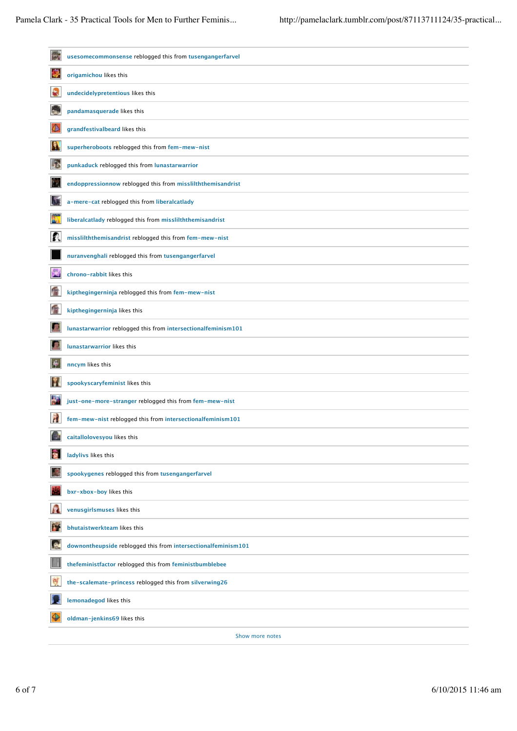| ia.                         | usesomecommonsense reblogged this from tusengangerfarvel      |
|-----------------------------|---------------------------------------------------------------|
| ♦                           | origamichou likes this                                        |
| S                           | undecidelypretentious likes this                              |
| $\mathbf{r}$                | pandamasquerade likes this                                    |
|                             | grandfestivalbeard likes this                                 |
| 凰                           | superheroboots reblogged this from fem-mew-nist               |
| وتر                         | punkaduck reblogged this from lunastarwarrior                 |
| 獣                           | endoppressionnow reblogged this from misslilththemisandrist   |
| $\mathcal{N}$               | a-mere-cat reblogged this from liberalcatlady                 |
| 斷                           | liberalcatlady reblogged this from misslilththemisandrist     |
| $\mathcal{E}^{\mathbb{R}}$  | misslilththemisandrist reblogged this from fem-mew-nist       |
|                             | nuranvenghali reblogged this from tusengangerfarvel           |
| 冕                           | chrono-rabbit likes this                                      |
| 會                           | kipthegingerninja reblogged this from fem-mew-nist            |
| 會                           | kipthegingerninja likes this                                  |
| Ð                           | lunastarwarrior reblogged this from intersectionalfeminism101 |
| Ð                           | <b>lunastarwarrior likes this</b>                             |
| $\frac{1}{2}$               | nncym likes this                                              |
| M                           | spookyscaryfeminist likes this                                |
| 64                          | just-one-more-stranger reblogged this from fem-mew-nist       |
| À                           | fem-mew-nist reblogged this from intersectionalfeminism101    |
| $\mathcal{L}$<br><b>TAX</b> | caitallolovesyou likes this                                   |
| 复                           | ladylivs likes this                                           |
|                             | spookygenes reblogged this from tusengangerfarvel             |
| ņг                          | bxr-xbox-boy likes this                                       |
| Α                           | venusgirlsmuses likes this                                    |
| M                           | bhutaistwerkteam likes this                                   |
| ø                           | downontheupside reblogged this from intersectionalfeminism101 |
|                             | thefeministfactor reblogged this from feministbumblebee       |
| 贾                           | the-scalemate-princess reblogged this from silverwing26       |
|                             | lemonadegod likes this                                        |
| ♦                           | oldman-jenkins69 likes this                                   |
|                             | Show more notes                                               |